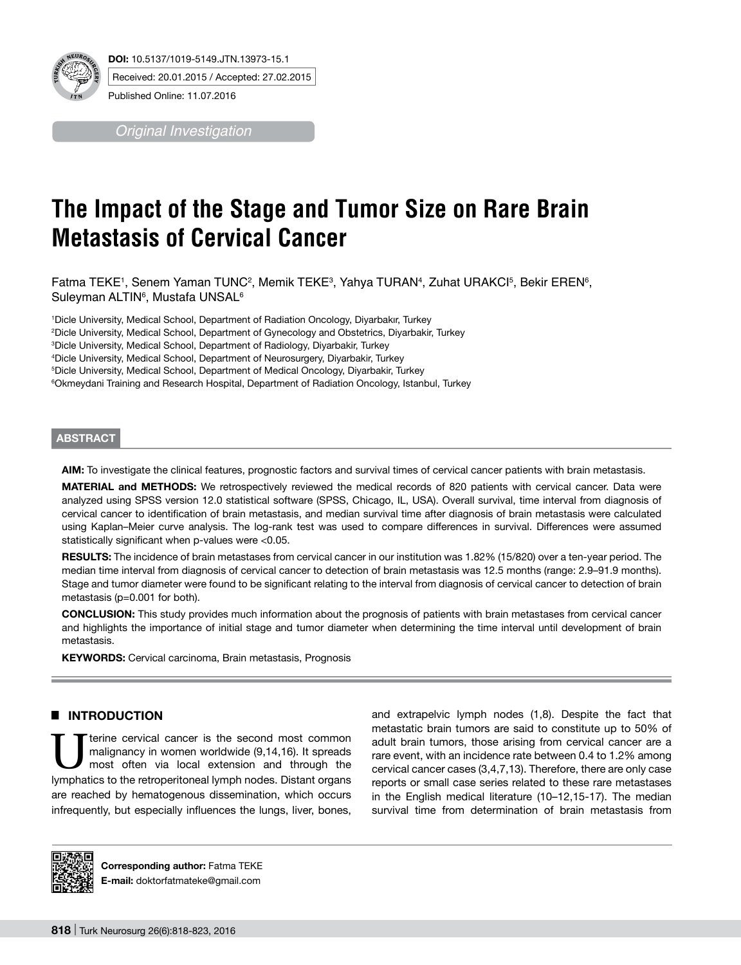

*Original Investigation*

# **The Impact of the Stage and Tumor Size on Rare Brain Metastasis of Cervical Cancer**

Fatma TEKE1, Senem Yaman TUNC², Memik TEKE<sup>3</sup>, Yahya TURAN<sup>4</sup>, Zuhat URAKCI<sup>5</sup>, Bekir EREN<sup>6</sup>, Suleyman ALTIN<sup>6</sup>, Mustafa UNSAL<sup>6</sup>

1 Dicle University, Medical School, Department of Radiation Oncology, Diyarbakır, Turkey

<sup>2</sup>Dicle University, Medical School, Department of Gynecology and Obstetrics, Diyarbakir, Turkey<br><sup>3</sup>Dicle University, Medical School, Department of Badiology, Diyarbakir, Turkey

<sup>3</sup>Dicle University, Medical School, Department of Radiology, Diyarbakir, Turkey

4 Dicle University, Medical School, Department of Neurosurgery, Diyarbakir, Turkey

5 Dicle University, Medical School, Department of Medical Oncology, Diyarbakir, Turkey

6 Okmeydani Training and Research Hospital, Department of Radiation Oncology, Istanbul, Turkey

## **ABSTRACT**

**AIm:** To investigate the clinical features, prognostic factors and survival times of cervical cancer patients with brain metastasis.

**MaterIal and Methods:** We retrospectively reviewed the medical records of 820 patients with cervical cancer. Data were analyzed using SPSS version 12.0 statistical software (SPSS, Chicago, IL, USA). Overall survival, time interval from diagnosis of cervical cancer to identification of brain metastasis, and median survival time after diagnosis of brain metastasis were calculated using Kaplan–Meier curve analysis. The log-rank test was used to compare differences in survival. Differences were assumed statistically significant when p-values were <0.05.

**RESULTS:** The incidence of brain metastases from cervical cancer in our institution was 1.82% (15/820) over a ten-year period. The median time interval from diagnosis of cervical cancer to detection of brain metastasis was 12.5 months (range: 2.9–91.9 months). Stage and tumor diameter were found to be significant relating to the interval from diagnosis of cervical cancer to detection of brain metastasis (p=0.001 for both).

**ConclusIon:** This study provides much information about the prognosis of patients with brain metastases from cervical cancer and highlights the importance of initial stage and tumor diameter when determining the time interval until development of brain metastasis.

KEYWORDS: Cervical carcinoma, Brain metastasis, Prognosis

# █ **Introduction**

terine cervical cancer is the second most common malignancy in women worldwide (9,14,16). It spreads most often via local extension and through the lymphatics to the retroperitoneal lymph nodes. Distant organs are reached by hematogenous dissemination, which occurs infrequently, but especially influences the lungs, liver, bones,

and extrapelvic lymph nodes (1,8). Despite the fact that metastatic brain tumors are said to constitute up to 50% of adult brain tumors, those arising from cervical cancer are a rare event, with an incidence rate between 0.4 to 1.2% among cervical cancer cases (3,4,7,13). Therefore, there are only case reports or small case series related to these rare metastases in the English medical literature (10–12,15-17). The median survival time from determination of brain metastasis from



**Corresponding author:** Fatma Teke **E-mail:** doktorfatmateke@gmail.com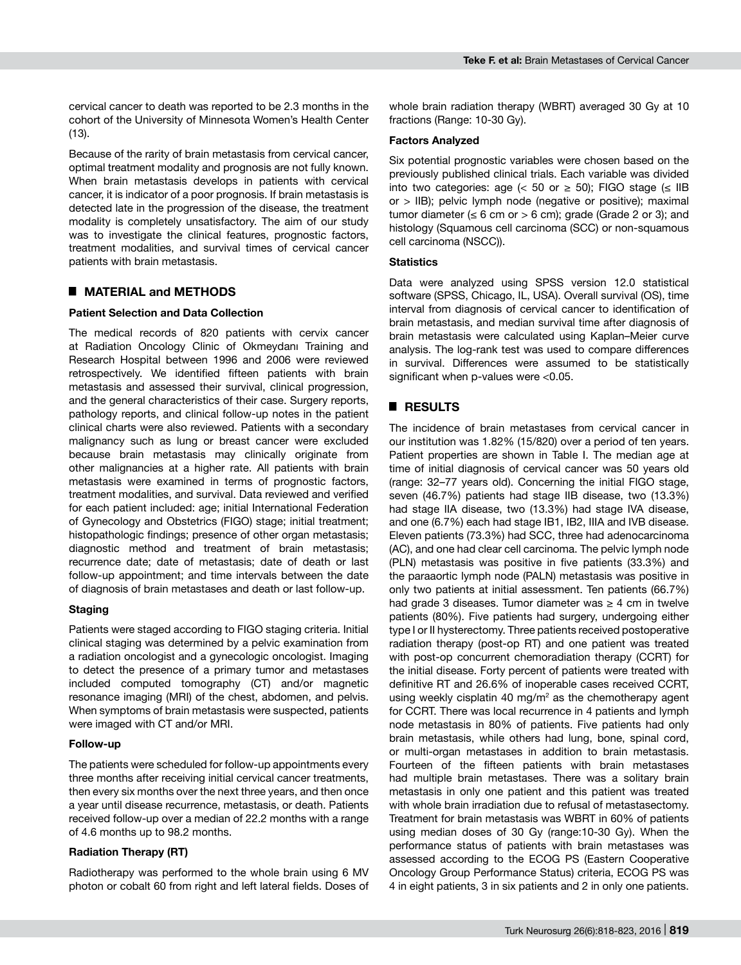cervical cancer to death was reported to be 2.3 months in the cohort of the University of Minnesota Women's Health Center (13).

Because of the rarity of brain metastasis from cervical cancer, optimal treatment modality and prognosis are not fully known. When brain metastasis develops in patients with cervical cancer, it is indicator of a poor prognosis. If brain metastasis is detected late in the progression of the disease, the treatment modality is completely unsatisfactory. The aim of our study was to investigate the clinical features, prognostic factors, treatment modalities, and survival times of cervical cancer patients with brain metastasis.

## █ **Material and Methods**

## **Patient Selection and Data Collection**

The medical records of 820 patients with cervix cancer at Radiation Oncology Clinic of Okmeydanı Training and Research Hospital between 1996 and 2006 were reviewed retrospectively. We identified fifteen patients with brain metastasis and assessed their survival, clinical progression, and the general characteristics of their case. Surgery reports, pathology reports, and clinical follow-up notes in the patient clinical charts were also reviewed. Patients with a secondary malignancy such as lung or breast cancer were excluded because brain metastasis may clinically originate from other malignancies at a higher rate. All patients with brain metastasis were examined in terms of prognostic factors, treatment modalities, and survival. Data reviewed and verified for each patient included: age; initial International Federation of Gynecology and Obstetrics (FIGO) stage; initial treatment; histopathologic findings; presence of other organ metastasis; diagnostic method and treatment of brain metastasis; recurrence date; date of metastasis; date of death or last follow-up appointment; and time intervals between the date of diagnosis of brain metastases and death or last follow-up.

#### **Staging**

Patients were staged according to FIGO staging criteria. Initial clinical staging was determined by a pelvic examination from a radiation oncologist and a gynecologic oncologist. Imaging to detect the presence of a primary tumor and metastases included computed tomography (CT) and/or magnetic resonance imaging (MRI) of the chest, abdomen, and pelvis. When symptoms of brain metastasis were suspected, patients were imaged with CT and/or MRI.

#### **Follow-up**

The patients were scheduled for follow-up appointments every three months after receiving initial cervical cancer treatments, then every six months over the next three years, and then once a year until disease recurrence, metastasis, or death. Patients received follow-up over a median of 22.2 months with a range of 4.6 months up to 98.2 months.

#### **Radiation Therapy (RT)**

Radiotherapy was performed to the whole brain using 6 MV photon or cobalt 60 from right and left lateral fields. Doses of

whole brain radiation therapy (WBRT) averaged 30 Gy at 10 fractions (Range: 10-30 Gy).

#### **Factors Analyzed**

Six potential prognostic variables were chosen based on the previously published clinical trials. Each variable was divided into two categories: age (< 50 or  $\ge$  50); FIGO stage ( $\le$  IIB or > IIB); pelvic lymph node (negative or positive); maximal tumor diameter ( $\leq 6$  cm or  $> 6$  cm); grade (Grade 2 or 3); and histology (Squamous cell carcinoma (SCC) or non-squamous cell carcinoma (NSCC)).

#### **Statistics**

Data were analyzed using SPSS version 12.0 statistical software (SPSS, Chicago, IL, USA). Overall survival (OS), time interval from diagnosis of cervical cancer to identification of brain metastasis, and median survival time after diagnosis of brain metastasis were calculated using Kaplan–Meier curve analysis. The log-rank test was used to compare differences in survival. Differences were assumed to be statistically significant when p-values were <0.05.

## █ **Results**

The incidence of brain metastases from cervical cancer in our institution was 1.82% (15/820) over a period of ten years. Patient properties are shown in Table I. The median age at time of initial diagnosis of cervical cancer was 50 years old (range: 32–77 years old). Concerning the initial FIGO stage, seven (46.7%) patients had stage IIB disease, two (13.3%) had stage IIA disease, two (13.3%) had stage IVA disease, and one (6.7%) each had stage IB1, IB2, IIIA and IVB disease. Eleven patients (73.3%) had SCC, three had adenocarcinoma (AC), and one had clear cell carcinoma. The pelvic lymph node (PLN) metastasis was positive in five patients (33.3%) and the paraaortic lymph node (PALN) metastasis was positive in only two patients at initial assessment. Ten patients (66.7%) had grade 3 diseases. Tumor diameter was  $\geq$  4 cm in twelve patients (80%). Five patients had surgery, undergoing either type I or II hysterectomy. Three patients received postoperative radiation therapy (post-op RT) and one patient was treated with post-op concurrent chemoradiation therapy (CCRT) for the initial disease. Forty percent of patients were treated with definitive RT and 26.6% of inoperable cases received CCRT, using weekly cisplatin 40 mg/m<sup>2</sup> as the chemotherapy agent for CCRT. There was local recurrence in 4 patients and lymph node metastasis in 80% of patients. Five patients had only brain metastasis, while others had lung, bone, spinal cord, or multi-organ metastases in addition to brain metastasis. Fourteen of the fifteen patients with brain metastases had multiple brain metastases. There was a solitary brain metastasis in only one patient and this patient was treated with whole brain irradiation due to refusal of metastasectomy. Treatment for brain metastasis was WBRT in 60% of patients using median doses of 30 Gy (range:10-30 Gy). When the performance status of patients with brain metastases was assessed according to the ECOG PS (Eastern Cooperative Oncology Group Performance Status) criteria, ECOG PS was 4 in eight patients, 3 in six patients and 2 in only one patients.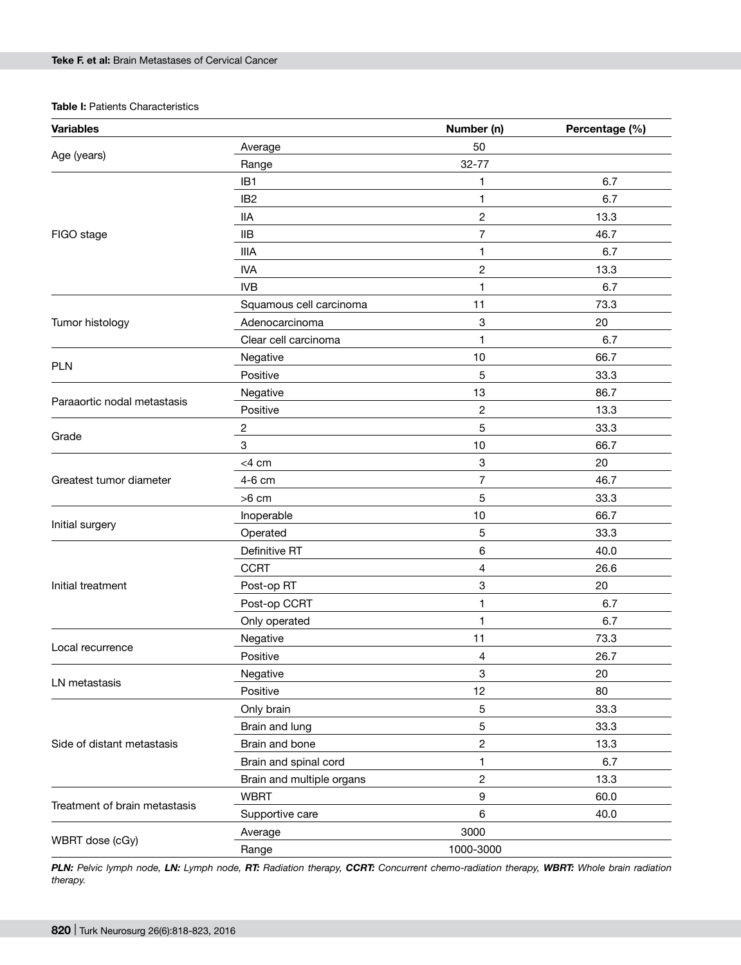## **Table I: Patients Characteristics**

| <b>Variables</b>              |                           | Number (n)              | Percentage (%) |
|-------------------------------|---------------------------|-------------------------|----------------|
| Age (years)                   | Average                   | 50                      |                |
|                               | Range                     | $32 - 77$               |                |
|                               | IB1                       | 1                       | 6.7            |
|                               | IB <sub>2</sub>           | 1                       | 6.7            |
|                               | <b>IIA</b>                | $\overline{c}$          | 13.3           |
| FIGO stage                    | <b>IIB</b>                | 7                       | 46.7           |
|                               | <b>IIIA</b>               | 1                       | 6.7            |
|                               | <b>IVA</b>                | $\overline{c}$          | 13.3           |
|                               | <b>IVB</b>                | 1                       | 6.7            |
|                               | Squamous cell carcinoma   | 11                      | 73.3           |
| Tumor histology               | Adenocarcinoma            | 3                       | 20             |
|                               | Clear cell carcinoma      | 1                       | 6.7            |
|                               | Negative                  | 10                      | 66.7           |
| <b>PLN</b>                    | Positive                  | 5                       | 33.3           |
|                               | Negative                  | 13                      | 86.7           |
| Paraaortic nodal metastasis   | Positive                  | $\overline{\mathbf{c}}$ | 13.3           |
|                               | $\overline{c}$            | 5                       | 33.3           |
| Grade                         | 3                         | 10                      | 66.7           |
|                               | $<$ 4 cm                  | 3                       | 20             |
| Greatest tumor diameter       | 4-6 cm                    | 7                       | 46.7           |
|                               | $>6$ cm                   | 5                       | 33.3           |
|                               | Inoperable                | 10                      | 66.7           |
| Initial surgery               | Operated                  | 5                       | 33.3           |
|                               | Definitive RT             | 6                       | 40.0           |
|                               | <b>CCRT</b>               | 4                       | 26.6           |
| Initial treatment             | Post-op RT                | 3                       | 20             |
|                               | Post-op CCRT              | 1                       | 6.7            |
|                               | Only operated             | 1                       | 6.7            |
| Local recurrence              | Negative                  | 11                      | 73.3           |
|                               | Positive                  | 4                       | 26.7           |
| LN metastasis                 | Negative                  | 3                       | 20             |
|                               | Positive                  | 12                      | 80             |
|                               | Only brain                | 5                       | 33.3           |
|                               | Brain and lung            | 5                       | 33.3           |
| Side of distant metastasis    | Brain and bone            | 2                       | 13.3           |
|                               | Brain and spinal cord     | 1                       | 6.7            |
|                               | Brain and multiple organs | 2                       | 13.3           |
|                               | <b>WBRT</b>               | 9                       | 60.0           |
| Treatment of brain metastasis | Supportive care           | $\,6\,$                 | 40.0           |
|                               | Average                   | 3000                    |                |
| WBRT dose (cGy)               | Range                     | 1000-3000               |                |

*PLN: Pelvic lymph node, LN: Lymph node, RT: Radiation therapy, CCRT: Concurrent chemo-radiation therapy, WBRT: Whole brain radiation therapy.*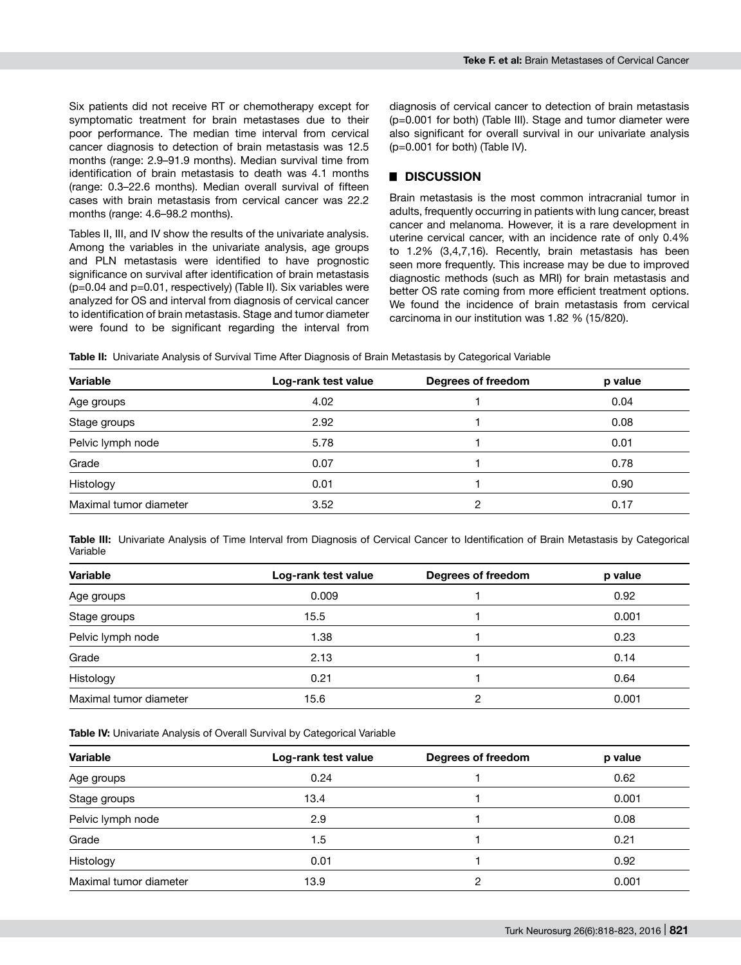Six patients did not receive RT or chemotherapy except for symptomatic treatment for brain metastases due to their poor performance. The median time interval from cervical cancer diagnosis to detection of brain metastasis was 12.5 months (range: 2.9–91.9 months). Median survival time from identification of brain metastasis to death was 4.1 months (range: 0.3–22.6 months). Median overall survival of fifteen cases with brain metastasis from cervical cancer was 22.2 months (range: 4.6–98.2 months).

Tables II, III, and IV show the results of the univariate analysis. Among the variables in the univariate analysis, age groups and PLN metastasis were identified to have prognostic significance on survival after identification of brain metastasis (p=0.04 and p=0.01, respectively) (Table II). Six variables were analyzed for OS and interval from diagnosis of cervical cancer to identification of brain metastasis. Stage and tumor diameter were found to be significant regarding the interval from

diagnosis of cervical cancer to detection of brain metastasis (p=0.001 for both) (Table III). Stage and tumor diameter were also significant for overall survival in our univariate analysis (p=0.001 for both) (Table IV).

# █ **Discussion**

Brain metastasis is the most common intracranial tumor in adults, frequently occurring in patients with lung cancer, breast cancer and melanoma. However, it is a rare development in uterine cervical cancer, with an incidence rate of only 0.4% to 1.2% (3,4,7,16). Recently, brain metastasis has been seen more frequently. This increase may be due to improved diagnostic methods (such as MRI) for brain metastasis and better OS rate coming from more efficient treatment options. We found the incidence of brain metastasis from cervical carcinoma in our institution was 1.82 % (15/820).

**Table II:** Univariate Analysis of Survival Time After Diagnosis of Brain Metastasis by Categorical Variable

| <b>Variable</b>        | Log-rank test value | Degrees of freedom | p value |
|------------------------|---------------------|--------------------|---------|
| Age groups             | 4.02                |                    | 0.04    |
| Stage groups           | 2.92                |                    | 0.08    |
| Pelvic lymph node      | 5.78                |                    | 0.01    |
| Grade                  | 0.07                |                    | 0.78    |
| Histology              | 0.01                |                    | 0.90    |
| Maximal tumor diameter | 3.52                | າ                  | 0.17    |

**Table III:** Univariate Analysis of Time Interval from Diagnosis of Cervical Cancer to Identification of Brain Metastasis by Categorical Variable

| Variable               | Log-rank test value | Degrees of freedom | p value |
|------------------------|---------------------|--------------------|---------|
| Age groups             | 0.009               |                    | 0.92    |
| Stage groups           | 15.5                |                    | 0.001   |
| Pelvic lymph node      | 1.38                |                    | 0.23    |
| Grade                  | 2.13                |                    | 0.14    |
| Histology              | 0.21                |                    | 0.64    |
| Maximal tumor diameter | 15.6                | ◠                  | 0.001   |

**Table IV:** Univariate Analysis of Overall Survival by Categorical Variable

| Variable               | Log-rank test value | Degrees of freedom | p value |
|------------------------|---------------------|--------------------|---------|
| Age groups             | 0.24                |                    | 0.62    |
| Stage groups           | 13.4                |                    | 0.001   |
| Pelvic lymph node      | 2.9                 |                    | 0.08    |
| Grade                  | 1.5                 |                    | 0.21    |
| Histology              | 0.01                |                    | 0.92    |
| Maximal tumor diameter | 13.9                | っ                  | 0.001   |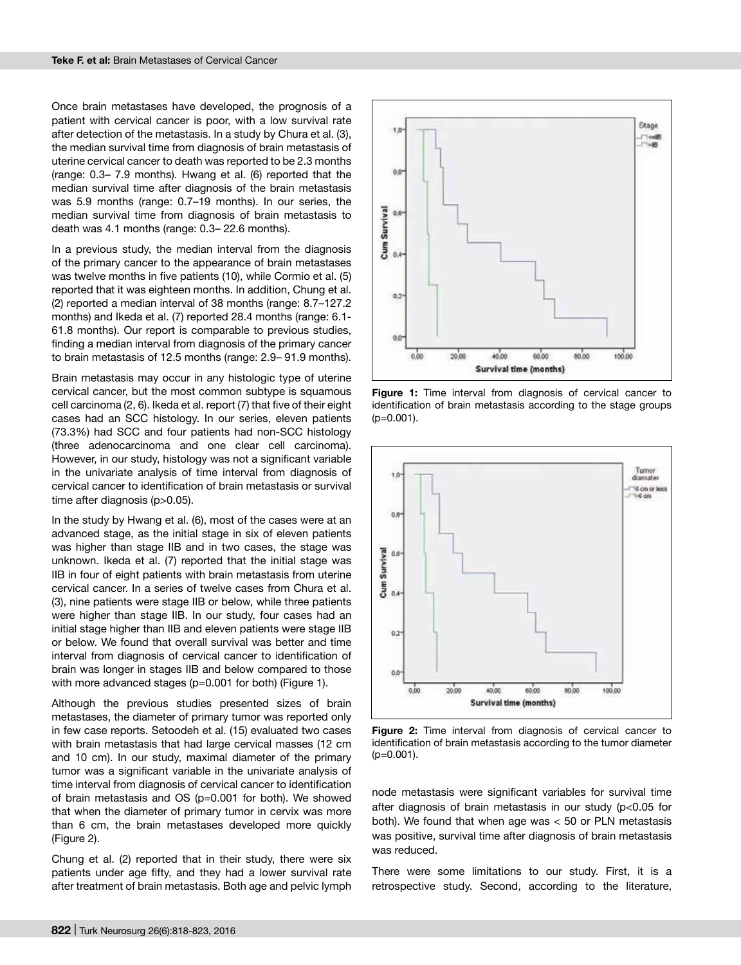Once brain metastases have developed, the prognosis of a patient with cervical cancer is poor, with a low survival rate after detection of the metastasis. In a study by Chura et al. (3), the median survival time from diagnosis of brain metastasis of uterine cervical cancer to death was reported to be 2.3 months (range: 0.3– 7.9 months). Hwang et al. (6) reported that the median survival time after diagnosis of the brain metastasis was 5.9 months (range: 0.7–19 months). In our series, the median survival time from diagnosis of brain metastasis to death was 4.1 months (range: 0.3– 22.6 months).

In a previous study, the median interval from the diagnosis of the primary cancer to the appearance of brain metastases was twelve months in five patients (10), while Cormio et al. (5) reported that it was eighteen months. In addition, Chung et al. (2) reported a median interval of 38 months (range: 8.7–127.2 months) and Ikeda et al. (7) reported 28.4 months (range: 6.1- 61.8 months). Our report is comparable to previous studies, finding a median interval from diagnosis of the primary cancer to brain metastasis of 12.5 months (range: 2.9– 91.9 months).

Brain metastasis may occur in any histologic type of uterine cervical cancer, but the most common subtype is squamous cell carcinoma (2, 6). Ikeda et al. report (7) that five of their eight cases had an SCC histology. In our series, eleven patients (73.3%) had SCC and four patients had non-SCC histology (three adenocarcinoma and one clear cell carcinoma). However, in our study, histology was not a significant variable in the univariate analysis of time interval from diagnosis of cervical cancer to identification of brain metastasis or survival time after diagnosis (p>0.05).

In the study by Hwang et al. (6), most of the cases were at an advanced stage, as the initial stage in six of eleven patients was higher than stage IIB and in two cases, the stage was unknown. Ikeda et al. (7) reported that the initial stage was IIB in four of eight patients with brain metastasis from uterine cervical cancer. In a series of twelve cases from Chura et al. (3), nine patients were stage IIB or below, while three patients were higher than stage IIB. In our study, four cases had an initial stage higher than IIB and eleven patients were stage IIB or below. We found that overall survival was better and time interval from diagnosis of cervical cancer to identification of brain was longer in stages IIB and below compared to those with more advanced stages (p=0.001 for both) (Figure 1).

Although the previous studies presented sizes of brain metastases, the diameter of primary tumor was reported only in few case reports. Setoodeh et al. (15) evaluated two cases with brain metastasis that had large cervical masses (12 cm and 10 cm). In our study, maximal diameter of the primary tumor was a significant variable in the univariate analysis of time interval from diagnosis of cervical cancer to identification of brain metastasis and OS (p=0.001 for both). We showed that when the diameter of primary tumor in cervix was more than 6 cm, the brain metastases developed more quickly (Figure 2).

Chung et al. (2) reported that in their study, there were six patients under age fifty, and they had a lower survival rate after treatment of brain metastasis. Both age and pelvic lymph



**Figure 1:** Time interval from diagnosis of cervical cancer to identification of brain metastasis according to the stage groups (p=0.001).



**Figure 2:** Time interval from diagnosis of cervical cancer to identification of brain metastasis according to the tumor diameter  $(p=0.001)$ .

node metastasis were significant variables for survival time after diagnosis of brain metastasis in our study (p<0.05 for both). We found that when age was < 50 or PLN metastasis was positive, survival time after diagnosis of brain metastasis was reduced.

There were some limitations to our study. First, it is a retrospective study. Second, according to the literature,